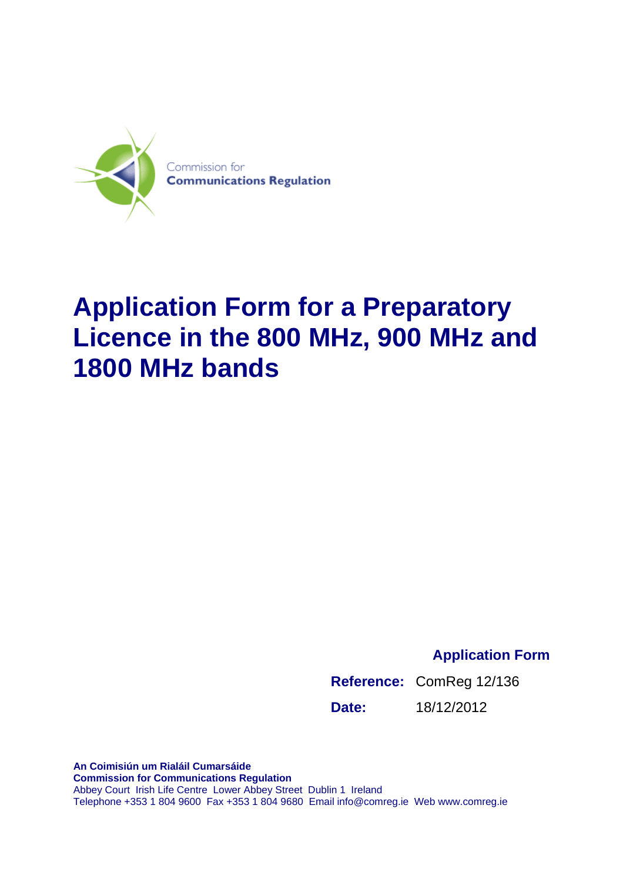

# **Application Form for a Preparatory Licence in the 800 MHz, 900 MHz and 1800 MHz bands**

**Application Form**

**Reference:** ComReg 12/136 **Date:** 18/12/2012

**An Coimisiún um Rialáil Cumarsáide Commission for Communications Regulation**  Abbey Court Irish Life Centre Lower Abbey Street Dublin 1 Ireland Telephone +353 1 804 9600 Fax +353 1 804 9680 Email info@comreg.ie Web www.comreg.ie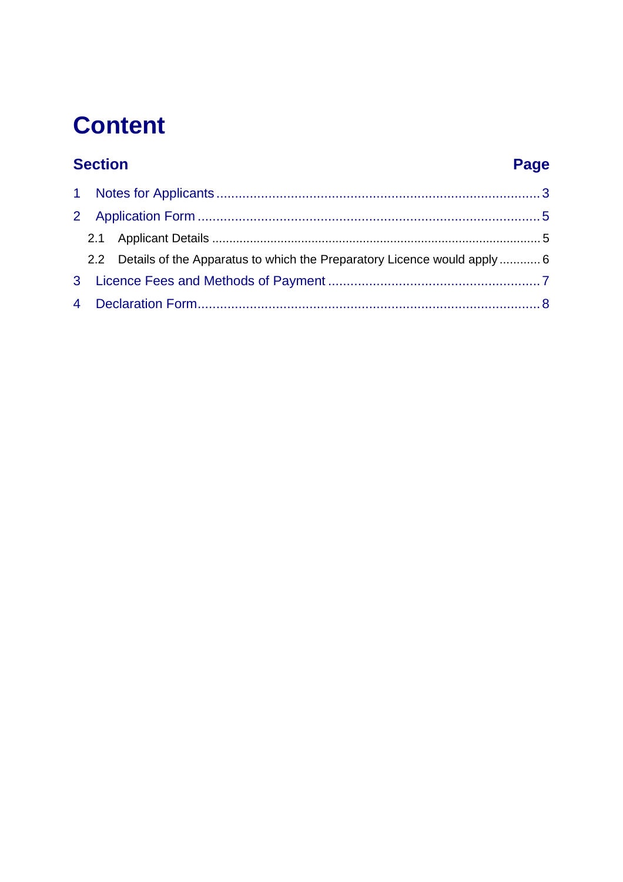# **Content**

### **Section**

### Page

|  | 2.2 Details of the Apparatus to which the Preparatory Licence would apply 6 |  |
|--|-----------------------------------------------------------------------------|--|
|  |                                                                             |  |
|  |                                                                             |  |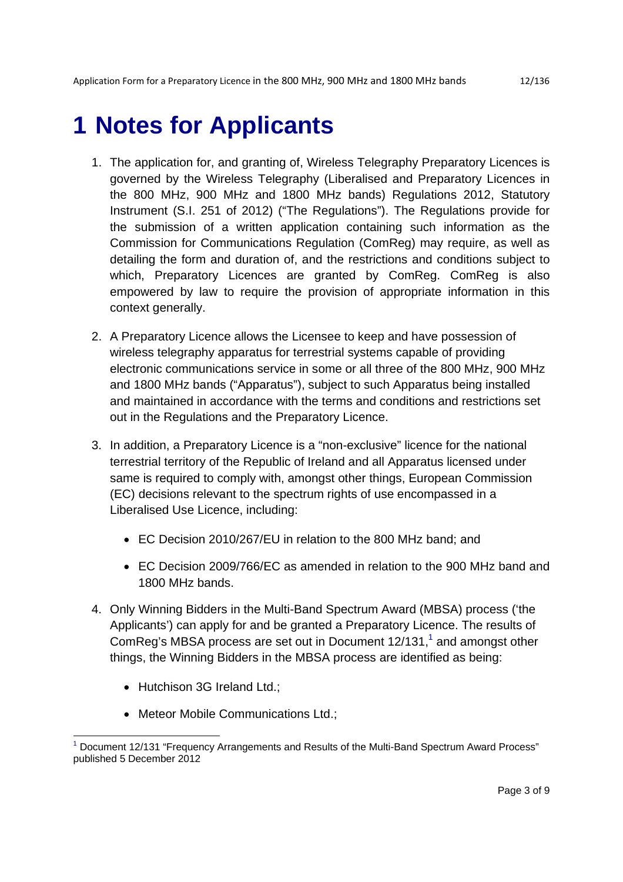## **1 Notes for Applicants**

- 1. The application for, and granting of, Wireless Telegraphy Preparatory Licences is governed by the Wireless Telegraphy (Liberalised and Preparatory Licences in the 800 MHz, 900 MHz and 1800 MHz bands) Regulations 2012, Statutory Instrument (S.I. 251 of 2012) ("The Regulations"). The Regulations provide for the submission of a written application containing such information as the Commission for Communications Regulation (ComReg) may require, as well as detailing the form and duration of, and the restrictions and conditions subject to which, Preparatory Licences are granted by ComReg. ComReg is also empowered by law to require the provision of appropriate information in this context generally.
- 2. A Preparatory Licence allows the Licensee to keep and have possession of wireless telegraphy apparatus for terrestrial systems capable of providing electronic communications service in some or all three of the 800 MHz, 900 MHz and 1800 MHz bands ("Apparatus"), subject to such Apparatus being installed and maintained in accordance with the terms and conditions and restrictions set out in the Regulations and the Preparatory Licence.
- 3. In addition, a Preparatory Licence is a "non-exclusive" licence for the national terrestrial territory of the Republic of Ireland and all Apparatus licensed under same is required to comply with, amongst other things, European Commission (EC) decisions relevant to the spectrum rights of use encompassed in a Liberalised Use Licence, including:
	- EC Decision 2010/267/EU in relation to the 800 MHz band; and
	- EC Decision 2009/766/EC as amended in relation to the 900 MHz band and 1800 MHz bands.
- 4. Only Winning Bidders in the Multi-Band Spectrum Award (MBSA) process ('the Applicants') can apply for and be granted a Preparatory Licence. The results of ComReg's MBSA process are set out in Document  $12/131$ ,<sup>1</sup> and amongst other things, the Winning Bidders in the MBSA process are identified as being:
	- Hutchison 3G Ireland Ltd.;

• Meteor Mobile Communications Ltd.;

<sup>&</sup>lt;sup>1</sup> Document 12/131 "Frequency Arrangements and Results of the Multi-Band Spectrum Award Process" published 5 December 2012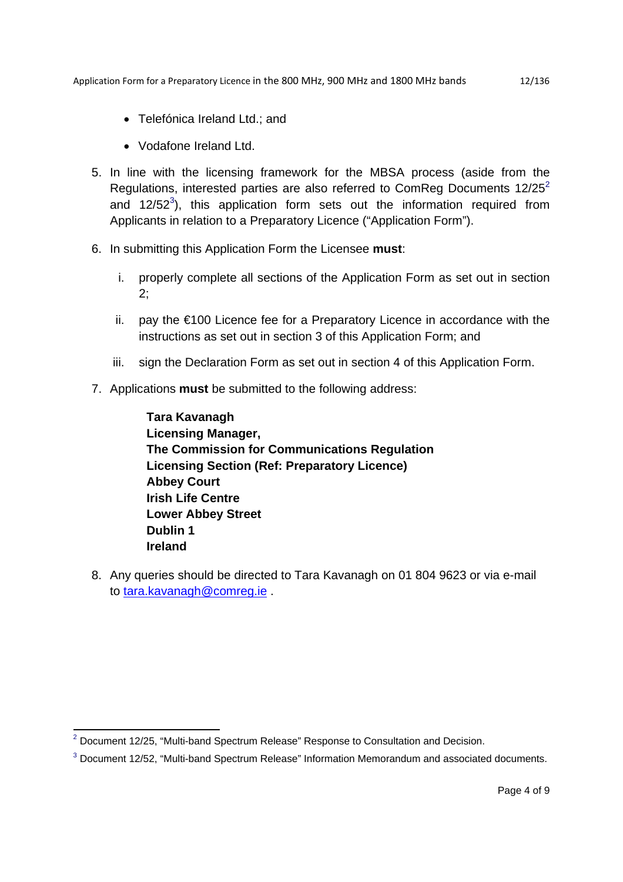- Telefónica Ireland Ltd.; and
- Vodafone Ireland Ltd.
- 5. In line with the licensing framework for the MBSA process (aside from the Regulations, interested parties are also referred to ComReg Documents  $12/25^2$ and 12/52<sup>3</sup>), this application form sets out the information required from Applicants in relation to a Preparatory Licence ("Application Form").
- 6. In submitting this Application Form the Licensee **must**:
	- i. properly complete all sections of the Application Form as set out in section 2;
	- ii. pay the €100 Licence fee for a Preparatory Licence in accordance with the instructions as set out in section 3 of this Application Form; and
	- iii. sign the Declaration Form as set out in section 4 of this Application Form.
- 7. Applications **must** be submitted to the following address:

**Tara Kavanagh Licensing Manager, The Commission for Communications Regulation Licensing Section (Ref: Preparatory Licence) Abbey Court Irish Life Centre Lower Abbey Street Dublin 1 Ireland** 

8. Any queries should be directed to Tara Kavanagh on 01 804 9623 or via e-mail to tara.kavanagh@comreg.ie .

 2 Document 12/25, "Multi-band Spectrum Release" Response to Consultation and Decision.

 $3$  Document 12/52, "Multi-band Spectrum Release" Information Memorandum and associated documents.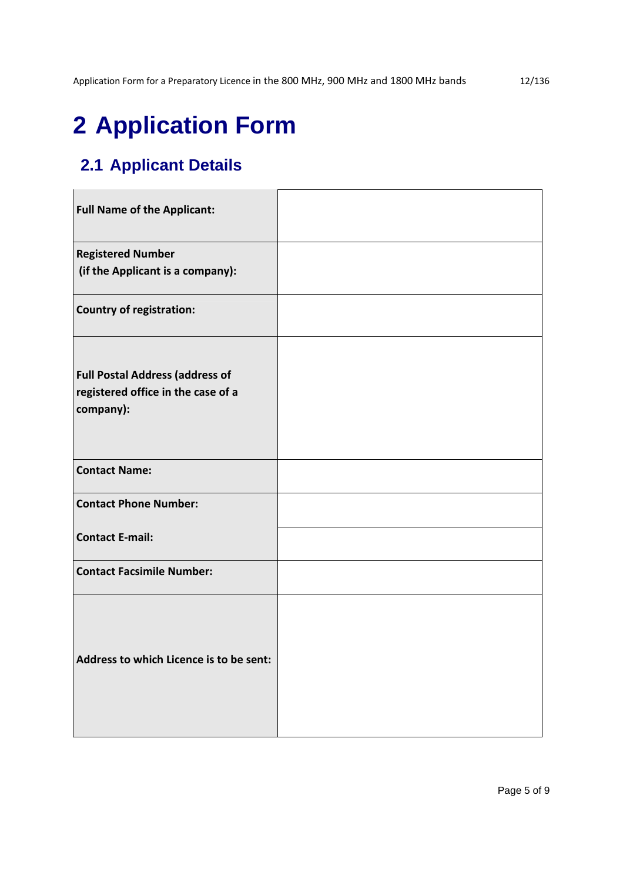### **2.1 Applicant Details**

| <b>Full Name of the Applicant:</b>                                                        |  |
|-------------------------------------------------------------------------------------------|--|
| <b>Registered Number</b>                                                                  |  |
| (if the Applicant is a company):                                                          |  |
| <b>Country of registration:</b>                                                           |  |
| <b>Full Postal Address (address of</b><br>registered office in the case of a<br>company): |  |
| <b>Contact Name:</b>                                                                      |  |
| <b>Contact Phone Number:</b>                                                              |  |
| <b>Contact E-mail:</b>                                                                    |  |
| <b>Contact Facsimile Number:</b>                                                          |  |
| Address to which Licence is to be sent:                                                   |  |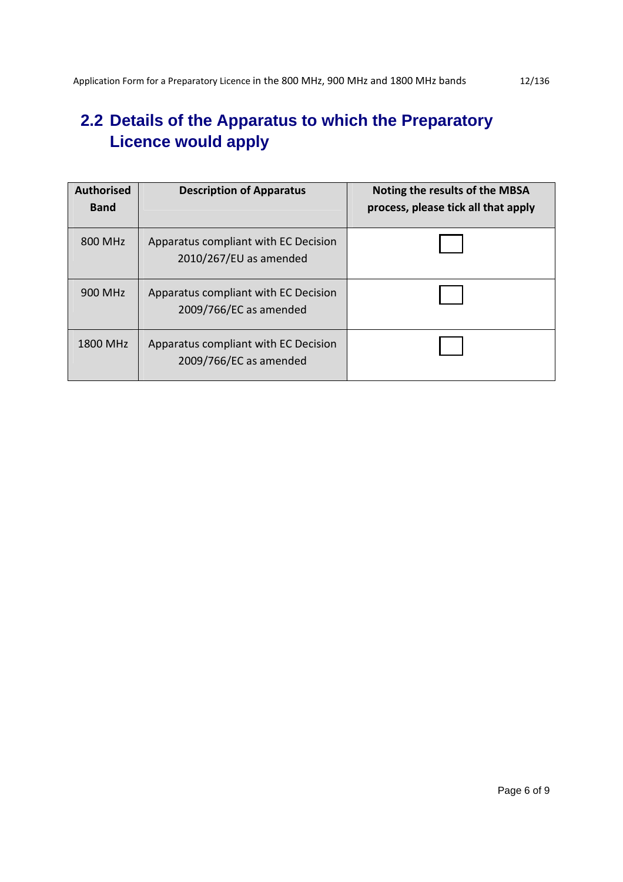#### **2.2 Details of the Apparatus to which the Preparatory Licence would apply**

| <b>Authorised</b><br><b>Band</b> | <b>Description of Apparatus</b>                                | Noting the results of the MBSA<br>process, please tick all that apply |
|----------------------------------|----------------------------------------------------------------|-----------------------------------------------------------------------|
| 800 MHz                          | Apparatus compliant with EC Decision<br>2010/267/EU as amended |                                                                       |
| 900 MHz                          | Apparatus compliant with EC Decision<br>2009/766/EC as amended |                                                                       |
| 1800 MHz                         | Apparatus compliant with EC Decision<br>2009/766/EC as amended |                                                                       |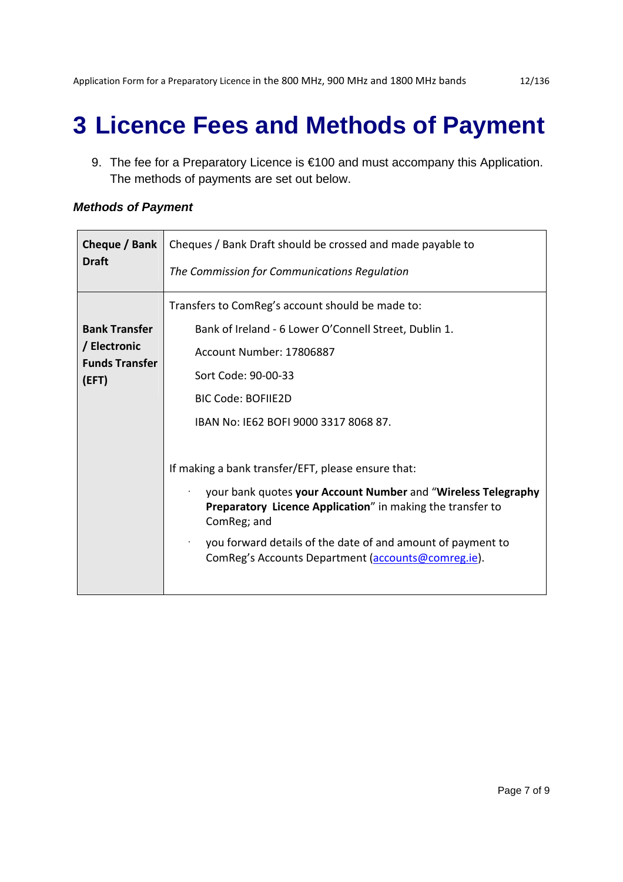## **3 Licence Fees and Methods of Payment**

9. The fee for a Preparatory Licence is €100 and must accompany this Application. The methods of payments are set out below.

#### *Methods of Payment*

| Cheque / Bank                                                          | Cheques / Bank Draft should be crossed and made payable to                                                                                                                                                                                                                                                                                                                                                                                                                                                                                                          |
|------------------------------------------------------------------------|---------------------------------------------------------------------------------------------------------------------------------------------------------------------------------------------------------------------------------------------------------------------------------------------------------------------------------------------------------------------------------------------------------------------------------------------------------------------------------------------------------------------------------------------------------------------|
| <b>Draft</b>                                                           | The Commission for Communications Regulation                                                                                                                                                                                                                                                                                                                                                                                                                                                                                                                        |
| <b>Bank Transfer</b><br>/ Electronic<br><b>Funds Transfer</b><br>(EFT) | Transfers to ComReg's account should be made to:<br>Bank of Ireland - 6 Lower O'Connell Street, Dublin 1.<br>Account Number: 17806887<br>Sort Code: 90-00-33<br><b>BIC Code: BOFIIE2D</b><br>IBAN No: IE62 BOFI 9000 3317 8068 87.<br>If making a bank transfer/EFT, please ensure that:<br>your bank quotes your Account Number and "Wireless Telegraphy<br><b>Preparatory Licence Application</b> " in making the transfer to<br>ComReg; and<br>you forward details of the date of and amount of payment to<br>ComReg's Accounts Department (accounts@comreg.ie). |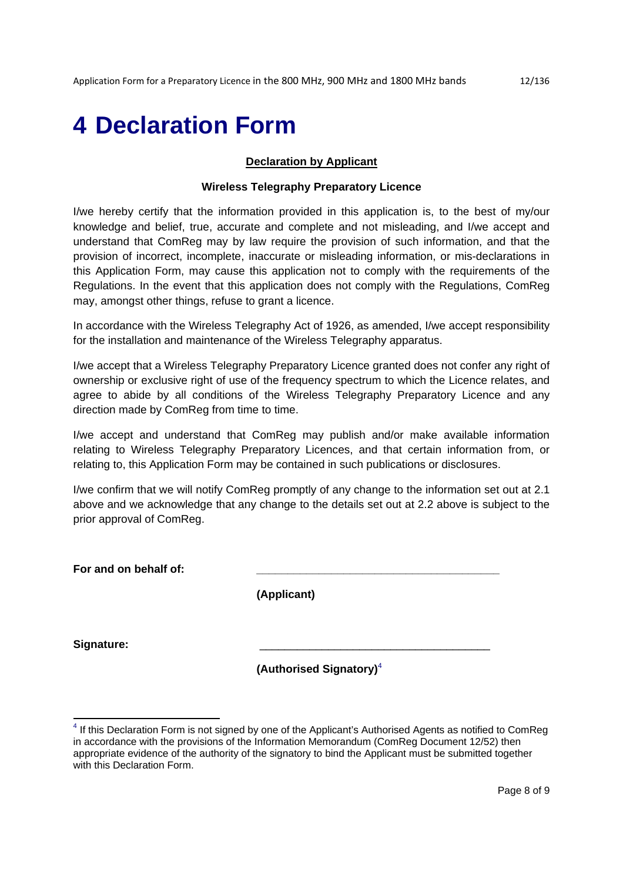## **4 Declaration Form**

#### **Declaration by Applicant**

#### **Wireless Telegraphy Preparatory Licence**

I/we hereby certify that the information provided in this application is, to the best of my/our knowledge and belief, true, accurate and complete and not misleading, and I/we accept and understand that ComReg may by law require the provision of such information, and that the provision of incorrect, incomplete, inaccurate or misleading information, or mis-declarations in this Application Form, may cause this application not to comply with the requirements of the Regulations. In the event that this application does not comply with the Regulations, ComReg may, amongst other things, refuse to grant a licence.

In accordance with the Wireless Telegraphy Act of 1926, as amended, I/we accept responsibility for the installation and maintenance of the Wireless Telegraphy apparatus.

I/we accept that a Wireless Telegraphy Preparatory Licence granted does not confer any right of ownership or exclusive right of use of the frequency spectrum to which the Licence relates, and agree to abide by all conditions of the Wireless Telegraphy Preparatory Licence and any direction made by ComReg from time to time.

I/we accept and understand that ComReg may publish and/or make available information relating to Wireless Telegraphy Preparatory Licences, and that certain information from, or relating to, this Application Form may be contained in such publications or disclosures.

I/we confirm that we will notify ComReg promptly of any change to the information set out at 2.1 above and we acknowledge that any change to the details set out at 2.2 above is subject to the prior approval of ComReg.

| For and on behalf of: |                                     |
|-----------------------|-------------------------------------|
|                       | (Applicant)                         |
| Signature:            |                                     |
|                       | (Authorised Signatory) <sup>4</sup> |

 $4$  If this Declaration Form is not signed by one of the Applicant's Authorised Agents as notified to ComReg in accordance with the provisions of the Information Memorandum (ComReg Document 12/52) then appropriate evidence of the authority of the signatory to bind the Applicant must be submitted together with this Declaration Form.